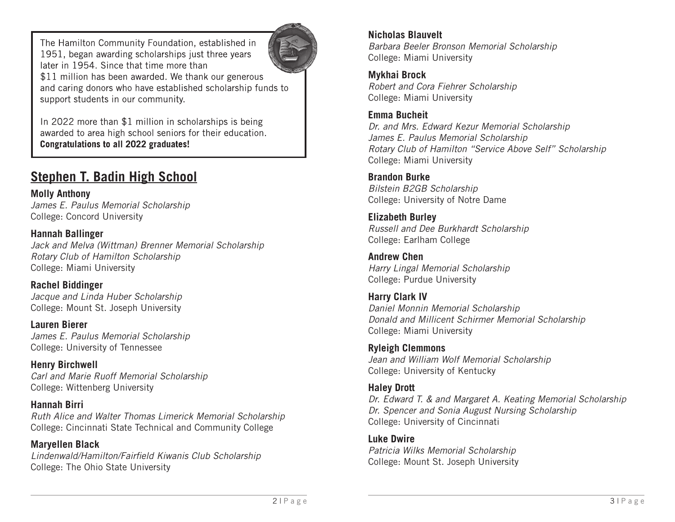The Hamilton Community Foundation, established in 1951, began awarding scholarships just three years later in 1954. Since that time more than \$11 million has been awarded. We thank our generous and caring donors who have established scholarship funds to support students in our community.



In 2022 more than \$1 million in scholarships is being awarded to area high school seniors for their education. Congratulations to all 2022 graduates!

# **Stephen T. Badin High School**

**Molly Anthony** *James E. Paulus Memorial Scholarship*  College: Concord University

**Hannah Ballinger** *Jack and Melva (Wittman) Brenner Memorial Scholarship Rotary Club of Hamilton Scholarship* College: Miami University

**Rachel Biddinger**  *Jacque and Linda Huber Scholarship* College: Mount St. Joseph University

**Lauren Bierer** *James E. Paulus Memorial Scholarship*  College: University of Tennessee

**Henry Birchwell**  *Carl and Marie Ruoff Memorial Scholarship* College: Wittenberg University

**Hannah Birri**  *Ruth Alice and Walter Thomas Limerick Memorial Scholarship*  College: Cincinnati State Technical and Community College

**Maryellen Black** *Lindenwald/Hamilton/Fairfield Kiwanis Club Scholarship* College: The Ohio State University

### **Nicholas Blauvelt**

*Barbara Beeler Bronson Memorial Scholarship*  College: Miami University

**Mykhai Brock** 

*Robert and Cora Fiehrer Scholarship* College: Miami University

### **Emma Bucheit**

*Dr. and Mrs. Edward Kezur Memorial Scholarship James E. Paulus Memorial Scholarship Rotary Club of Hamilton "Service Above Self" Scholarship* College: Miami University

### **Brandon Burke**

*Bilstein B2GB Scholarship* College: University of Notre Dame

**Elizabeth Burley** *Russell and Dee Burkhardt Scholarship* College: Earlham College

**Andrew Chen** *Harry Lingal Memorial Scholarship* College: Purdue University

**Harry Clark IV** *Daniel Monnin Memorial Scholarship Donald and Millicent Schirmer Memorial Scholarship* College: Miami University

**Ryleigh Clemmons** *Jean and William Wolf Memorial Scholarship* College: University of Kentucky

### **Haley Drott**

*Dr. Edward T. & and Margaret A. Keating Memorial Scholarship Dr. Spencer and Sonia August Nursing Scholarship* College: University of Cincinnati

**Luke Dwire** *Patricia Wilks Memorial Scholarship* College: Mount St. Joseph University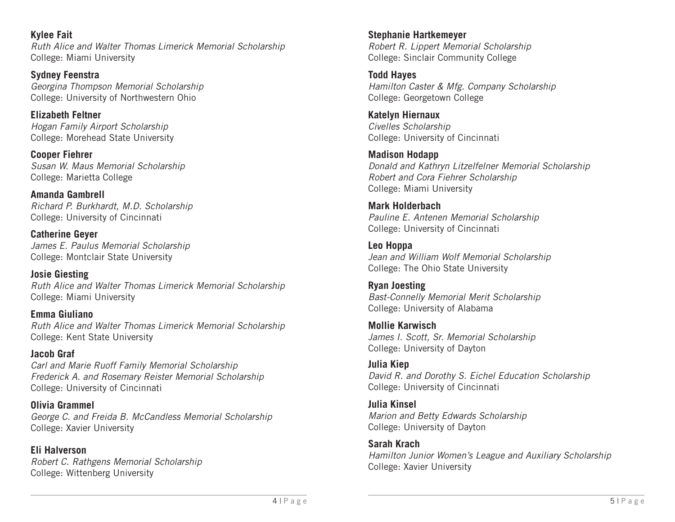**Kylee Fait** *Ruth Alice and Walter Thomas Limerick Memorial Scholarship* College: Miami University

**Sydney Feenstra** *Georgina Thompson Memorial Scholarship* College: University of Northwestern Ohio

**Elizabeth Feltner** *Hogan Family Airport Scholarship* College: Morehead State University

**Cooper Fiehrer** *Susan W. Maus Memorial Scholarship* College: Marietta College

**Amanda Gambrell** *Richard P. Burkhardt, M.D. Scholarship* College: University of Cincinnati

**Catherine Geyer** *James E. Paulus Memorial Scholarship* College: Montclair State University

**Josie Giesting** *Ruth Alice and Walter Thomas Limerick Memorial Scholarship* College: Miami University

**Emma Giuliano** *Ruth Alice and Walter Thomas Limerick Memorial Scholarship* College: Kent State University

**Jacob Graf** *Carl and Marie Ruoff Family Memorial Scholarship Frederick A. and Rosemary Reister Memorial Scholarship* College: University of Cincinnati

**Olivia Grammel** *George C. and Freida B. McCandless Memorial Scholarship* College: Xavier University

**Eli Halverson** *Robert C. Rathgens Memorial Scholarship* College: Wittenberg University

**Stephanie Hartkemeyer** *Robert R. Lippert Memorial Scholarship* College: Sinclair Community College

**Todd Hayes** *Hamilton Caster & Mfg. Company Scholarship* College: Georgetown College

**Katelyn Hiernaux** *Civelles Scholarship* College: University of Cincinnati

**Madison Hodapp** *Donald and Kathryn Litzelfelner Memorial Scholarship Robert and Cora Fiehrer Scholarship* College: Miami University

**Mark Holderbach** *Pauline E. Antenen Memorial Scholarship* College: University of Cincinnati

**Leo Hoppa** *Jean and William Wolf Memorial Scholarship* College: The Ohio State University

**Ryan Joesting** *Bast-Connelly Memorial Merit Scholarship* College: University of Alabama

**Mollie Karwisch** *James I. Scott, Sr. Memorial Scholarship* College: University of Dayton

**Julia Kiep** *David R. and Dorothy S. Eichel Education Scholarship* College: University of Cincinnati

**Julia Kinsel** *Marion and Betty Edwards Scholarship* College: University of Dayton

**Sarah Krach** *Hamilton Junior Women's League and Auxiliary Scholarship* College: Xavier University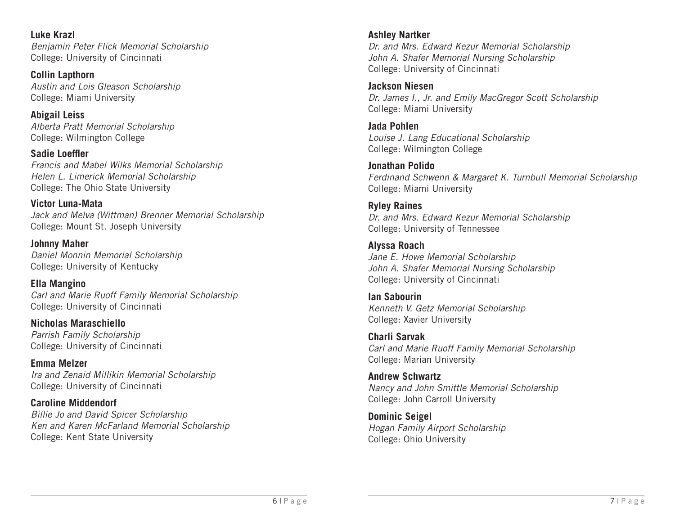**Luke Krazl** *Benjamin Peter Flick Memorial Scholarship* College: University of Cincinnati

**Collin Lapthorn** *Austin and Lois Gleason Scholarship* College: Miami University

**Abigail Leiss** *Alberta Pratt Memorial Scholarship* College: Wilmington College

**Sadie Loeffler** *Francis and Mabel Wilks Memorial Scholarship Helen L. Limerick Memorial Scholarship*  College: The Ohio State University

**Victor Luna-Mata** *Jack and Melva (Wittman) Brenner Memorial Scholarship* College: Mount St. Joseph University

**Johnny Maher** *Daniel Monnin Memorial Scholarship* College: University of Kentucky

**Ella Mangino** *Carl and Marie Ruoff Family Memorial Scholarship* College: University of Cincinnati

**Nicholas Maraschiello** *Parrish Family Scholarship* College: University of Cincinnati

**Emma Melzer** *Ira and Zenaid Millikin Memorial Scholarship* College: University of Cincinnati

**Caroline Middendorf** *Billie Jo and David Spicer Scholarship Ken and Karen McFarland Memorial Scholarship* College: Kent State University

### **Ashley Nartker**

*Dr. and Mrs. Edward Kezur Memorial Scholarship John A. Shafer Memorial Nursing Scholarship*  College: University of Cincinnati

**Jackson Niesen** *Dr. James I., Jr. and Emily MacGregor Scott Scholarship*  College: Miami University

**Jada Pohlen** *Louise J. Lang Educational Scholarship* College: Wilmington College

**Jonathan Polido** *Ferdinand Schwenn & Margaret K. Turnbull Memorial Scholarship* College: Miami University

**Ryley Raines** *Dr. and Mrs. Edward Kezur Memorial Scholarship* College: University of Tennessee

**Alyssa Roach** *Jane E. Howe Memorial Scholarship John A. Shafer Memorial Nursing Scholarship*  College: University of Cincinnati

**Ian Sabourin** *Kenneth V. Getz Memorial Scholarship* College: Xavier University

**Charli Sarvak** *Carl and Marie Ruoff Family Memorial Scholarship* College: Marian University

**Andrew Schwartz** *Nancy and John Smittle Memorial Scholarship* College: John Carroll University

**Dominic Seigel** *Hogan Family Airport Scholarship* College: Ohio University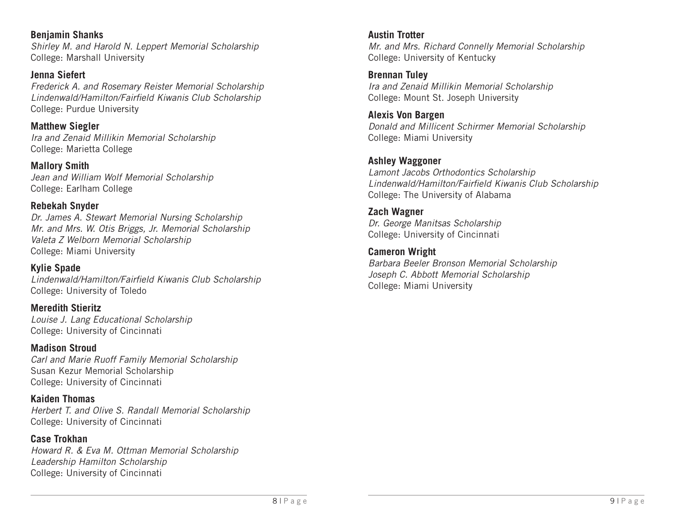**Benjamin Shanks** *Shirley M. and Harold N. Leppert Memorial Scholarship* College: Marshall University

**Jenna Siefert** *Frederick A. and Rosemary Reister Memorial Scholarship Lindenwald/Hamilton/Fairfield Kiwanis Club Scholarship* College: Purdue University

**Matthew Siegler** *Ira and Zenaid Millikin Memorial Scholarship* College: Marietta College

**Mallory Smith** *Jean and William Wolf Memorial Scholarship* College: Earlham College

#### **Rebekah Snyder**

*Dr. James A. Stewart Memorial Nursing Scholarship Mr. and Mrs. W. Otis Briggs, Jr. Memorial Scholarship Valeta Z Welborn Memorial Scholarship* College: Miami University

### **Kylie Spade**

*Lindenwald/Hamilton/Fairfield Kiwanis Club Scholarship* College: University of Toledo

**Meredith Stieritz** *Louise J. Lang Educational Scholarship* College: University of Cincinnati

**Madison Stroud** *Carl and Marie Ruoff Family Memorial Scholarship* Susan Kezur Memorial Scholarship College: University of Cincinnati

**Kaiden Thomas** *Herbert T. and Olive S. Randall Memorial Scholarship* College: University of Cincinnati

**Case Trokhan** *Howard R. & Eva M. Ottman Memorial Scholarship Leadership Hamilton Scholarship*  College: University of Cincinnati

**Austin Trotter** *Mr. and Mrs. Richard Connelly Memorial Scholarship* College: University of Kentucky

**Brennan Tuley** *Ira and Zenaid Millikin Memorial Scholarship* College: Mount St. Joseph University

**Alexis Von Bargen** *Donald and Millicent Schirmer Memorial Scholarship* College: Miami University

### **Ashley Waggoner**

*Lamont Jacobs Orthodontics Scholarship Lindenwald/Hamilton/Fairfield Kiwanis Club Scholarship* College: The University of Alabama

### **Zach Wagner**

*Dr. George Manitsas Scholarship*  College: University of Cincinnati

#### **Cameron Wright**

*Barbara Beeler Bronson Memorial Scholarship Joseph C. Abbott Memorial Scholarship* College: Miami University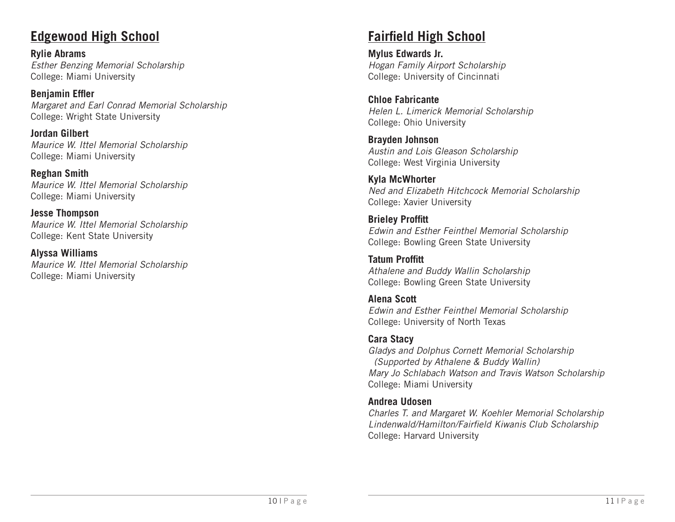### **Edgewood High School**

**Rylie Abrams** *Esther Benzing Memorial Scholarship* College: Miami University

**Benjamin Effler** *Margaret and Earl Conrad Memorial Scholarship* College: Wright State University

**Jordan Gilbert** *Maurice W. Ittel Memorial Scholarship*  College: Miami University

**Reghan Smith** *Maurice W. Ittel Memorial Scholarship* College: Miami University

**Jesse Thompson** *Maurice W. Ittel Memorial Scholarship* College: Kent State University

**Alyssa Williams** *Maurice W. Ittel Memorial Scholarship*  College: Miami University

### **Fairfield High School**

**Mylus Edwards Jr.** *Hogan Family Airport Scholarship*  College: University of Cincinnati

**Chloe Fabricante** *Helen L. Limerick Memorial Scholarship*  College: Ohio University

**Brayden Johnson** *Austin and Lois Gleason Scholarship* College: West Virginia University

**Kyla McWhorter** *Ned and Elizabeth Hitchcock Memorial Scholarship* College: Xavier University

**Brieley Proffitt** *Edwin and Esther Feinthel Memorial Scholarship* College: Bowling Green State University

**Tatum Proffitt** *Athalene and Buddy Wallin Scholarship* College: Bowling Green State University

**Alena Scott** *Edwin and Esther Feinthel Memorial Scholarship* College: University of North Texas

### **Cara Stacy**

*Gladys and Dolphus Cornett Memorial Scholarship (Supported by Athalene & Buddy Wallin) Mary Jo Schlabach Watson and Travis Watson Scholarship*  College: Miami University

#### **Andrea Udosen**

*Charles T. and Margaret W. Koehler Memorial Scholarship Lindenwald/Hamilton/Fairfield Kiwanis Club Scholarship* College: Harvard University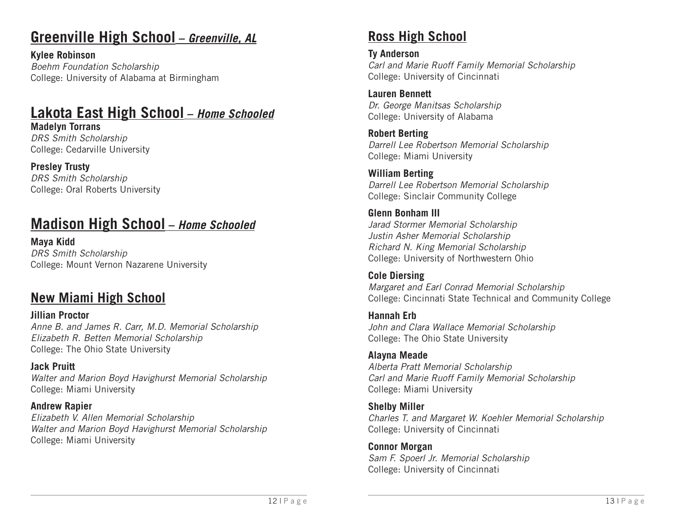# **Greenville High School –** *Greenville, AL*

**Kylee Robinson** *Boehm Foundation Scholarship* College: University of Alabama at Birmingham

# **Lakota East High School –** *Home Schooled*

**Madelyn Torrans** *DRS Smith Scholarship*  College: Cedarville University

**Presley Trusty** *DRS Smith Scholarship*  College: Oral Roberts University

# **Madison High School –** *Home Schooled*

**Maya Kidd** *DRS Smith Scholarship*  College: Mount Vernon Nazarene University

### **New Miami High School**

**Jillian Proctor** *Anne B. and James R. Carr, M.D. Memorial Scholarship Elizabeth R. Betten Memorial Scholarship* College: The Ohio State University

**Jack Pruitt** *Walter and Marion Boyd Havighurst Memorial Scholarship* College: Miami University

**Andrew Rapier** *Elizabeth V. Allen Memorial Scholarship Walter and Marion Boyd Havighurst Memorial Scholarship* College: Miami University

## **Ross High School**

**Ty Anderson**  *Carl and Marie Ruoff Family Memorial Scholarship* College: University of Cincinnati

**Lauren Bennett** *Dr. George Manitsas Scholarship*  College: University of Alabama

**Robert Berting** *Darrell Lee Robertson Memorial Scholarship* College: Miami University

**William Berting** *Darrell Lee Robertson Memorial Scholarship* College: Sinclair Community College

**Glenn Bonham III** *Jarad Stormer Memorial Scholarship Justin Asher Memorial Scholarship Richard N. King Memorial Scholarship* College: University of Northwestern Ohio

**Cole Diersing** *Margaret and Earl Conrad Memorial Scholarship* College: Cincinnati State Technical and Community College

**Hannah Erb** *John and Clara Wallace Memorial Scholarship* College: The Ohio State University

**Alayna Meade** *Alberta Pratt Memorial Scholarship Carl and Marie Ruoff Family Memorial Scholarship* College: Miami University

**Shelby Miller** *Charles T. and Margaret W. Koehler Memorial Scholarship*  College: University of Cincinnati

**Connor Morgan** *Sam F. Spoerl Jr. Memorial Scholarship* College: University of Cincinnati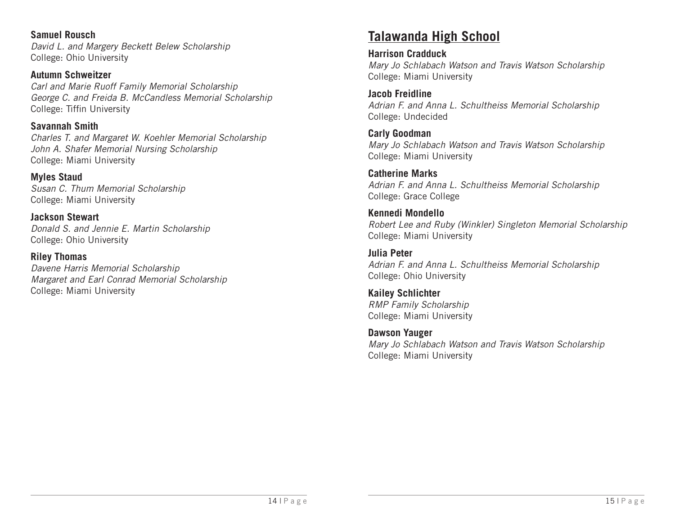**Samuel Rousch**  *David L. and Margery Beckett Belew Scholarship* College: Ohio University

**Autumn Schweitzer**  *Carl and Marie Ruoff Family Memorial Scholarship George C. and Freida B. McCandless Memorial Scholarship* College: Tiffin University

**Savannah Smith**  *Charles T. and Margaret W. Koehler Memorial Scholarship John A. Shafer Memorial Nursing Scholarship*  College: Miami University

**Myles Staud** *Susan C. Thum Memorial Scholarship* College: Miami University

**Jackson Stewart** *Donald S. and Jennie E. Martin Scholarship* College: Ohio University

**Riley Thomas** *Davene Harris Memorial Scholarship Margaret and Earl Conrad Memorial Scholarship* College: Miami University

## **Talawanda High School**

**Harrison Cradduck** *Mary Jo Schlabach Watson and Travis Watson Scholarship*  College: Miami University

**Jacob Freidline** *Adrian F. and Anna L. Schultheiss Memorial Scholarship* College: Undecided

**Carly Goodman** *Mary Jo Schlabach Watson and Travis Watson Scholarship* College: Miami University

**Catherine Marks** *Adrian F. and Anna L. Schultheiss Memorial Scholarship* College: Grace College

**Kennedi Mondello** *Robert Lee and Ruby (Winkler) Singleton Memorial Scholarship* College: Miami University

**Julia Peter** *Adrian F. and Anna L. Schultheiss Memorial Scholarship* College: Ohio University

**Kailey Schlichter** *RMP Family Scholarship* College: Miami University

**Dawson Yauger** *Mary Jo Schlabach Watson and Travis Watson Scholarship*  College: Miami University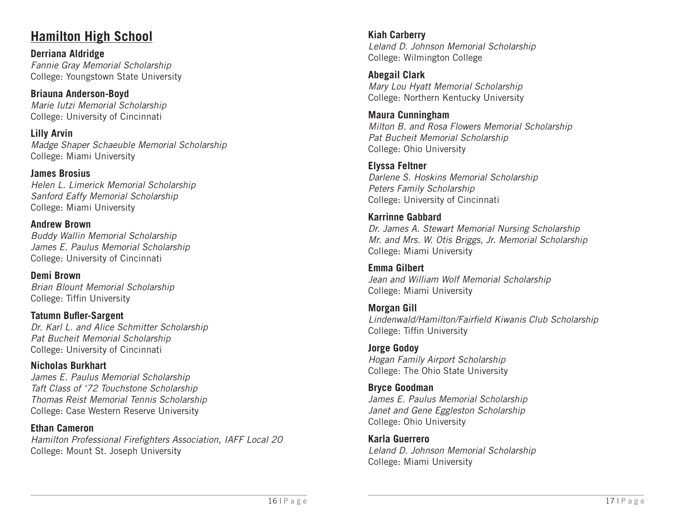### **Hamilton High School**

**Derriana Aldridge** *Fannie Gray Memorial Scholarship* College: Youngstown State University

**Briauna Anderson-Boyd** *Marie Iutzi Memorial Scholarship* College: University of Cincinnati

**Lilly Arvin** *Madge Shaper Schaeuble Memorial Scholarship* College: Miami University

**James Brosius** *Helen L. Limerick Memorial Scholarship Sanford Eaffy Memorial Scholarship* College: Miami University

**Andrew Brown** *Buddy Wallin Memorial Scholarship James E. Paulus Memorial Scholarship* College: University of Cincinnati

**Demi Brown** *Brian Blount Memorial Scholarship* College: Tiffin University

**Tatumn Bufler-Sargent** *Dr. Karl L. and Alice Schmitter Scholarship Pat Bucheit Memorial Scholarship* College: University of Cincinnati

**Nicholas Burkhart** *James E. Paulus Memorial Scholarship Taft Class of '72 Touchstone Scholarship Thomas Reist Memorial Tennis Scholarship* College: Case Western Reserve University

#### **Ethan Cameron**

*Hamilton Professional Firefighters Association, IAFF Local 20* College: Mount St. Joseph University

**Kiah Carberry** *Leland D. Johnson Memorial Scholarship* College: Wilmington College

**Abegail Clark** *Mary Lou Hyatt Memorial Scholarship* College: Northern Kentucky University

**Maura Cunningham** *Milton B. and Rosa Flowers Memorial Scholarship Pat Bucheit Memorial Scholarship* College: Ohio University

**Elyssa Feltner** *Darlene S. Hoskins Memorial Scholarship Peters Family Scholarship* College: University of Cincinnati

**Karrinne Gabbard** *Dr. James A. Stewart Memorial Nursing Scholarship Mr. and Mrs. W. Otis Briggs, Jr. Memorial Scholarship*  College: Miami University

**Emma Gilbert** *Jean and William Wolf Memorial Scholarship* College: Miami University

**Morgan Gill** *Lindenwald/Hamilton/Fairfield Kiwanis Club Scholarship* College: Tiffin University

**Jorge Godoy** *Hogan Family Airport Scholarship* College: The Ohio State University

**Bryce Goodman** *James E. Paulus Memorial Scholarship Janet and Gene Eggleston Scholarship* College: Ohio University

**Karla Guerrero** *Leland D. Johnson Memorial Scholarship* College: Miami University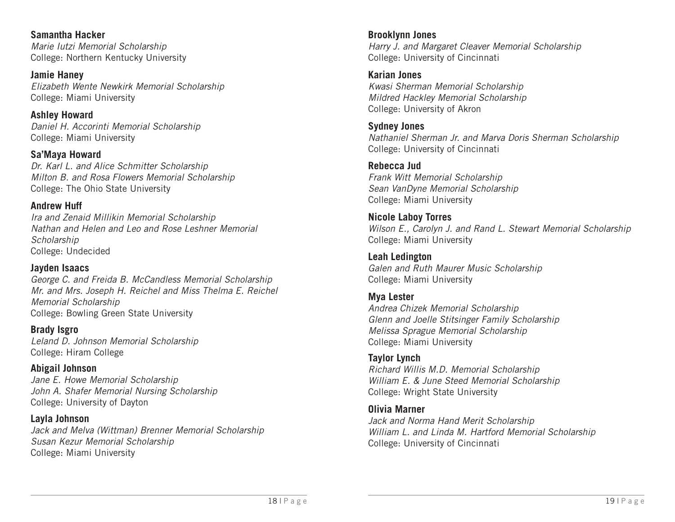**Samantha Hacker** *Marie Iutzi Memorial Scholarship* College: Northern Kentucky University

**Jamie Haney** *Elizabeth Wente Newkirk Memorial Scholarship* College: Miami University

**Ashley Howard** *Daniel H. Accorinti Memorial Scholarship* College: Miami University

**Sa'Maya Howard** *Dr. Karl L. and Alice Schmitter Scholarship Milton B. and Rosa Flowers Memorial Scholarship* College: The Ohio State University

#### **Andrew Huff**

*Ira and Zenaid Millikin Memorial Scholarship Nathan and Helen and Leo and Rose Leshner Memorial Scholarship* College: Undecided

#### **Jayden Isaacs**

*George C. and Freida B. McCandless Memorial Scholarship Mr. and Mrs. Joseph H. Reichel and Miss Thelma E. Reichel Memorial Scholarship* College: Bowling Green State University

**Brady Isgro** *Leland D. Johnson Memorial Scholarship* College: Hiram College

### **Abigail Johnson**

*Jane E. Howe Memorial Scholarship John A. Shafer Memorial Nursing Scholarship*  College: University of Dayton

#### **Layla Johnson**

*Jack and Melva (Wittman) Brenner Memorial Scholarship Susan Kezur Memorial Scholarship* College: Miami University

**Brooklynn Jones** *Harry J. and Margaret Cleaver Memorial Scholarship* College: University of Cincinnati

**Karian Jones** *Kwasi Sherman Memorial Scholarship Mildred Hackley Memorial Scholarship* College: University of Akron

**Sydney Jones** *Nathaniel Sherman Jr. and Marva Doris Sherman Scholarship* College: University of Cincinnati

### **Rebecca Jud**

*Frank Witt Memorial Scholarship Sean VanDyne Memorial Scholarship* College: Miami University

**Nicole Laboy Torres** *Wilson E., Carolyn J. and Rand L. Stewart Memorial Scholarship* College: Miami University

**Leah Ledington** *Galen and Ruth Maurer Music Scholarship* College: Miami University

**Mya Lester** *Andrea Chizek Memorial Scholarship Glenn and Joelle Stitsinger Family Scholarship Melissa Sprague Memorial Scholarship* College: Miami University

#### **Taylor Lynch**

*Richard Willis M.D. Memorial Scholarship William E. & June Steed Memorial Scholarship* College: Wright State University

### **Olivia Marner**

*Jack and Norma Hand Merit Scholarship William L. and Linda M. Hartford Memorial Scholarship*  College: University of Cincinnati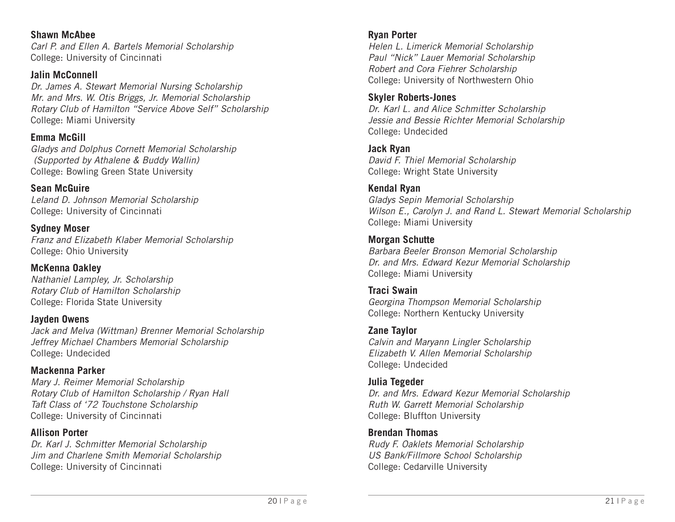**Shawn McAbee** *Carl P. and Ellen A. Bartels Memorial Scholarship*  College: University of Cincinnati

**Jalin McConnell** *Dr. James A. Stewart Memorial Nursing Scholarship Mr. and Mrs. W. Otis Briggs, Jr. Memorial Scholarship Rotary Club of Hamilton "Service Above Self" Scholarship* College: Miami University

**Emma McGill** *Gladys and Dolphus Cornett Memorial Scholarship (Supported by Athalene & Buddy Wallin)* College: Bowling Green State University

**Sean McGuire** *Leland D. Johnson Memorial Scholarship* College: University of Cincinnati

**Sydney Moser** *Franz and Elizabeth Klaber Memorial Scholarship* College: Ohio University

**McKenna Oakley** *Nathaniel Lampley, Jr. Scholarship Rotary Club of Hamilton Scholarship* College: Florida State University

**Jayden Owens** *Jack and Melva (Wittman) Brenner Memorial Scholarship Jeffrey Michael Chambers Memorial Scholarship* College: Undecided

**Mackenna Parker** *Mary J. Reimer Memorial Scholarship Rotary Club of Hamilton Scholarship / Ryan Hall Taft Class of '72 Touchstone Scholarship* College: University of Cincinnati

**Allison Porter** *Dr. Karl J. Schmitter Memorial Scholarship Jim and Charlene Smith Memorial Scholarship* College: University of Cincinnati

### **Ryan Porter**

*Helen L. Limerick Memorial Scholarship Paul "Nick" Lauer Memorial Scholarship Robert and Cora Fiehrer Scholarship* College: University of Northwestern Ohio

### **Skyler Roberts-Jones**

*Dr. Karl L. and Alice Schmitter Scholarship Jessie and Bessie Richter Memorial Scholarship* College: Undecided

**Jack Ryan** *David F. Thiel Memorial Scholarship* College: Wright State University

**Kendal Ryan** *Gladys Sepin Memorial Scholarship Wilson E., Carolyn J. and Rand L. Stewart Memorial Scholarship* College: Miami University

**Morgan Schutte** *Barbara Beeler Bronson Memorial Scholarship Dr. and Mrs. Edward Kezur Memorial Scholarship* College: Miami University

**Traci Swain** *Georgina Thompson Memorial Scholarship* College: Northern Kentucky University

**Zane Taylor** *Calvin and Maryann Lingler Scholarship Elizabeth V. Allen Memorial Scholarship* College: Undecided

**Julia Tegeder** *Dr. and Mrs. Edward Kezur Memorial Scholarship Ruth W. Garrett Memorial Scholarship* College: Bluffton University

**Brendan Thomas** *Rudy F. Oaklets Memorial Scholarship US Bank/Fillmore School Scholarship* College: Cedarville University